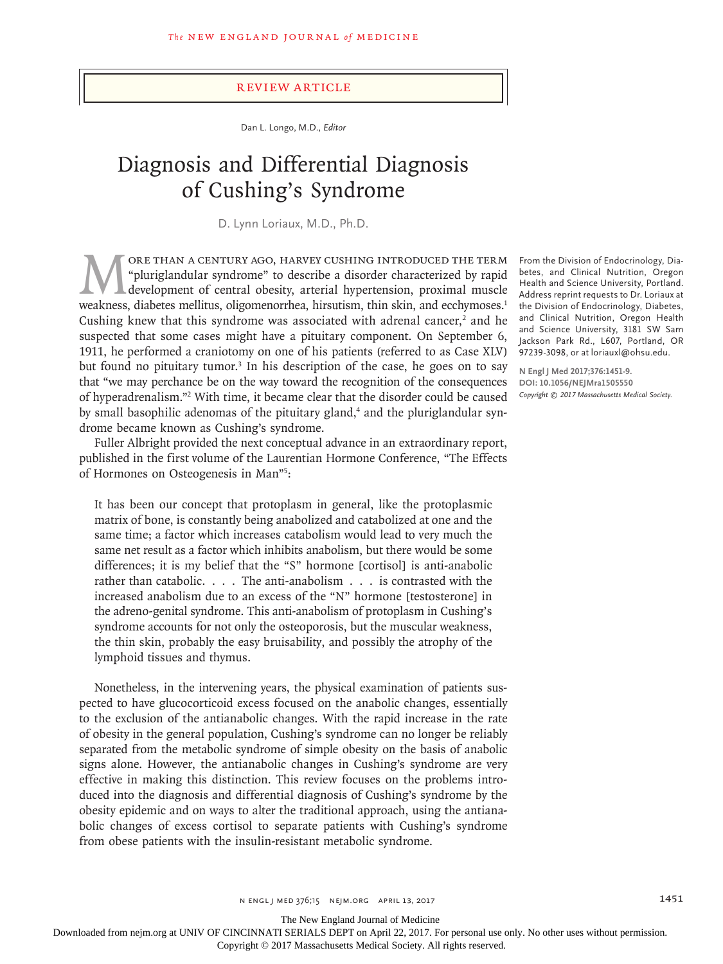#### Review Article

Dan L. Longo, M.D., *Editor*

# Diagnosis and Differential Diagnosis of Cushing's Syndrome

D. Lynn Loriaux, M.D., Ph.D.

ORE THAN A CENTURY AGO, HARVEY CUSHING INTRODUCED THE TERM<br>
"pluriglandular syndrome" to describe a disorder characterized by rapid<br>
development of central obesity, arterial hypertension, proximal muscle<br>
weakness. diabete "pluriglandular syndrome" to describe a disorder characterized by rapid development of central obesity, arterial hypertension, proximal muscle weakness, diabetes mellitus, oligomenorrhea, hirsutism, thin skin, and ecchymoses.<sup>1</sup> Cushing knew that this syndrome was associated with adrenal cancer, $2$  and he suspected that some cases might have a pituitary component. On September 6, 1911, he performed a craniotomy on one of his patients (referred to as Case XLV) but found no pituitary tumor.<sup>3</sup> In his description of the case, he goes on to say that "we may perchance be on the way toward the recognition of the consequences of hyperadrenalism."2 With time, it became clear that the disorder could be caused by small basophilic adenomas of the pituitary gland,<sup>4</sup> and the pluriglandular syndrome became known as Cushing's syndrome.

Fuller Albright provided the next conceptual advance in an extraordinary report, published in the first volume of the Laurentian Hormone Conference, "The Effects of Hormones on Osteogenesis in Man"5 :

It has been our concept that protoplasm in general, like the protoplasmic matrix of bone, is constantly being anabolized and catabolized at one and the same time; a factor which increases catabolism would lead to very much the same net result as a factor which inhibits anabolism, but there would be some differences; it is my belief that the "S" hormone [cortisol] is anti-anabolic rather than catabolic. . . . The anti-anabolism . . . is contrasted with the increased anabolism due to an excess of the "N" hormone [testosterone] in the adreno-genital syndrome. This anti-anabolism of protoplasm in Cushing's syndrome accounts for not only the osteoporosis, but the muscular weakness, the thin skin, probably the easy bruisability, and possibly the atrophy of the lymphoid tissues and thymus.

Nonetheless, in the intervening years, the physical examination of patients suspected to have glucocorticoid excess focused on the anabolic changes, essentially to the exclusion of the antianabolic changes. With the rapid increase in the rate of obesity in the general population, Cushing's syndrome can no longer be reliably separated from the metabolic syndrome of simple obesity on the basis of anabolic signs alone. However, the antianabolic changes in Cushing's syndrome are very effective in making this distinction. This review focuses on the problems introduced into the diagnosis and differential diagnosis of Cushing's syndrome by the obesity epidemic and on ways to alter the traditional approach, using the antianabolic changes of excess cortisol to separate patients with Cushing's syndrome from obese patients with the insulin-resistant metabolic syndrome.

From the Division of Endocrinology, Diabetes, and Clinical Nutrition, Oregon Health and Science University, Portland. Address reprint requests to Dr. Loriaux at the Division of Endocrinology, Diabetes, and Clinical Nutrition, Oregon Health and Science University, 3181 SW Sam Jackson Park Rd., L607, Portland, OR 97239-3098, or at loriauxl@ohsu.edu.

**N Engl J Med 2017;376:1451-9. DOI: 10.1056/NEJMra1505550** *Copyright © 2017 Massachusetts Medical Society.*

The New England Journal of Medicine

Downloaded from nejm.org at UNIV OF CINCINNATI SERIALS DEPT on April 22, 2017. For personal use only. No other uses without permission.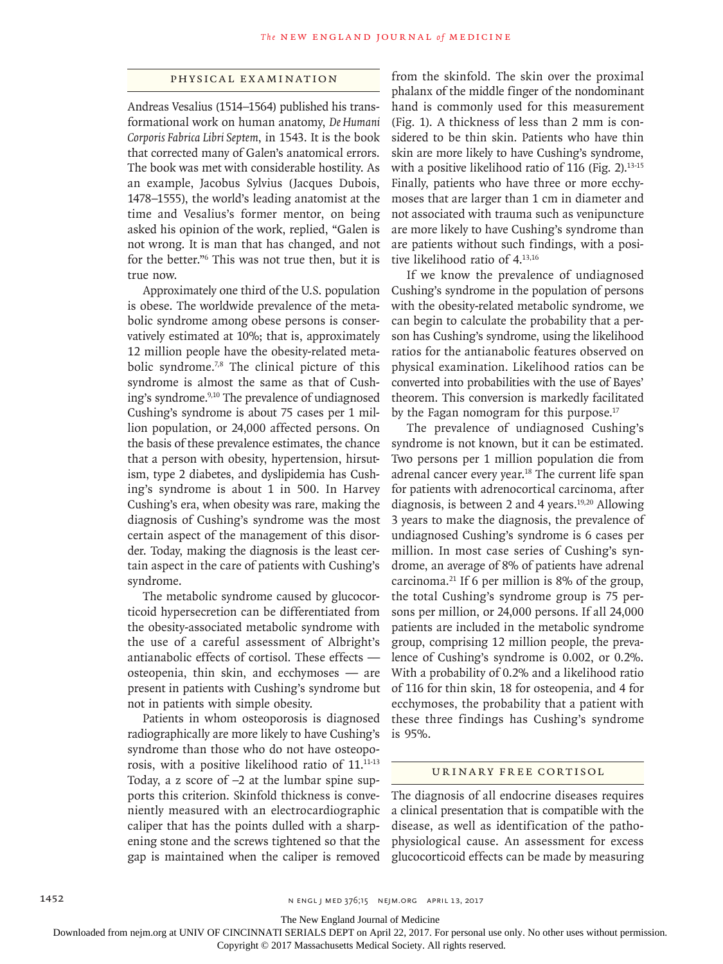## Physical Examination

Andreas Vesalius (1514–1564) published his transformational work on human anatomy, *De Humani Corporis Fabrica Libri Septem*, in 1543. It is the book that corrected many of Galen's anatomical errors. The book was met with considerable hostility. As an example, Jacobus Sylvius (Jacques Dubois, 1478–1555), the world's leading anatomist at the time and Vesalius's former mentor, on being asked his opinion of the work, replied, "Galen is not wrong. It is man that has changed, and not for the better."6 This was not true then, but it is true now.

Approximately one third of the U.S. population is obese. The worldwide prevalence of the metabolic syndrome among obese persons is conservatively estimated at 10%; that is, approximately 12 million people have the obesity-related metabolic syndrome.<sup>7,8</sup> The clinical picture of this syndrome is almost the same as that of Cushing's syndrome.<sup>9,10</sup> The prevalence of undiagnosed Cushing's syndrome is about 75 cases per 1 million population, or 24,000 affected persons. On the basis of these prevalence estimates, the chance that a person with obesity, hypertension, hirsutism, type 2 diabetes, and dyslipidemia has Cushing's syndrome is about 1 in 500. In Harvey Cushing's era, when obesity was rare, making the diagnosis of Cushing's syndrome was the most certain aspect of the management of this disorder. Today, making the diagnosis is the least certain aspect in the care of patients with Cushing's syndrome.

The metabolic syndrome caused by glucocorticoid hypersecretion can be differentiated from the obesity-associated metabolic syndrome with the use of a careful assessment of Albright's antianabolic effects of cortisol. These effects osteopenia, thin skin, and ecchymoses — are present in patients with Cushing's syndrome but not in patients with simple obesity.

Patients in whom osteoporosis is diagnosed radiographically are more likely to have Cushing's syndrome than those who do not have osteoporosis, with a positive likelihood ratio of 11.<sup>11-13</sup> Today, a z score of −2 at the lumbar spine supports this criterion. Skinfold thickness is conveniently measured with an electrocardiographic caliper that has the points dulled with a sharpening stone and the screws tightened so that the gap is maintained when the caliper is removed from the skinfold. The skin over the proximal phalanx of the middle finger of the nondominant hand is commonly used for this measurement (Fig. 1). A thickness of less than 2 mm is considered to be thin skin. Patients who have thin skin are more likely to have Cushing's syndrome, with a positive likelihood ratio of 116 (Fig. 2). $13-15$ Finally, patients who have three or more ecchymoses that are larger than 1 cm in diameter and not associated with trauma such as venipuncture are more likely to have Cushing's syndrome than are patients without such findings, with a positive likelihood ratio of 4.13,16

If we know the prevalence of undiagnosed Cushing's syndrome in the population of persons with the obesity-related metabolic syndrome, we can begin to calculate the probability that a person has Cushing's syndrome, using the likelihood ratios for the antianabolic features observed on physical examination. Likelihood ratios can be converted into probabilities with the use of Bayes' theorem. This conversion is markedly facilitated by the Fagan nomogram for this purpose.<sup>17</sup>

The prevalence of undiagnosed Cushing's syndrome is not known, but it can be estimated. Two persons per 1 million population die from adrenal cancer every year.<sup>18</sup> The current life span for patients with adrenocortical carcinoma, after diagnosis, is between 2 and 4 years.<sup>19,20</sup> Allowing 3 years to make the diagnosis, the prevalence of undiagnosed Cushing's syndrome is 6 cases per million. In most case series of Cushing's syndrome, an average of 8% of patients have adrenal carcinoma.21 If 6 per million is 8% of the group, the total Cushing's syndrome group is 75 persons per million, or 24,000 persons. If all 24,000 patients are included in the metabolic syndrome group, comprising 12 million people, the prevalence of Cushing's syndrome is 0.002, or 0.2%. With a probability of 0.2% and a likelihood ratio of 116 for thin skin, 18 for osteopenia, and 4 for ecchymoses, the probability that a patient with these three findings has Cushing's syndrome is 95%.

### Urinary Free Cortisol

The diagnosis of all endocrine diseases requires a clinical presentation that is compatible with the disease, as well as identification of the pathophysiological cause. An assessment for excess glucocorticoid effects can be made by measuring

1452 **n engl j med 376;15 nejm.org April 13, 2017** 

The New England Journal of Medicine

Downloaded from nejm.org at UNIV OF CINCINNATI SERIALS DEPT on April 22, 2017. For personal use only. No other uses without permission.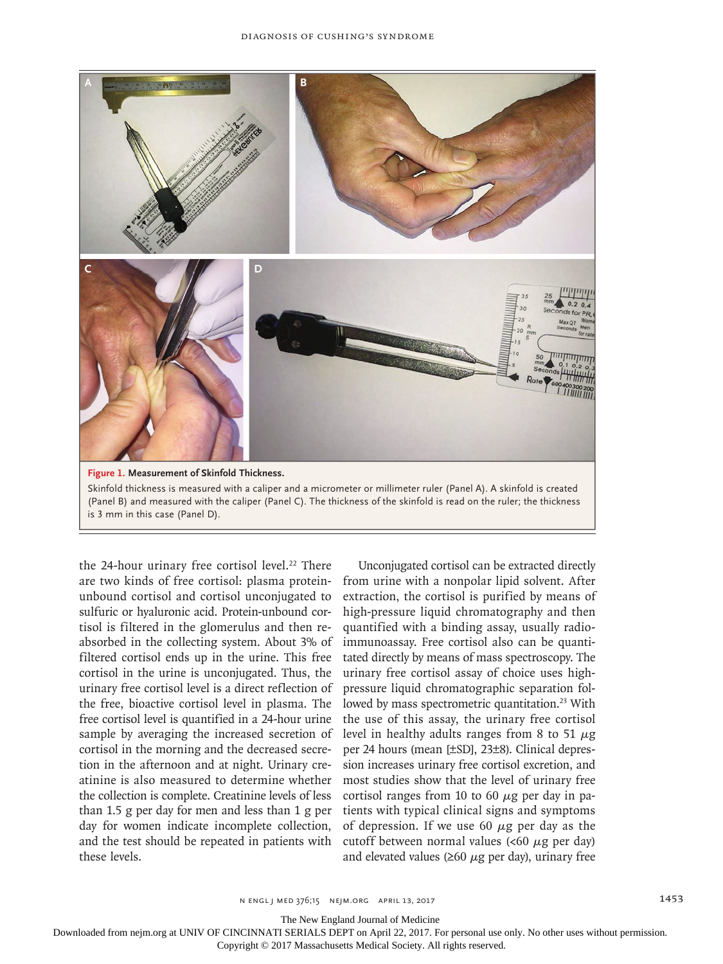

the 24-hour urinary free cortisol level.<sup>22</sup> There are two kinds of free cortisol: plasma proteinunbound cortisol and cortisol unconjugated to sulfuric or hyaluronic acid. Protein-unbound cortisol is filtered in the glomerulus and then reabsorbed in the collecting system. About 3% of filtered cortisol ends up in the urine. This free cortisol in the urine is unconjugated. Thus, the urinary free cortisol level is a direct reflection of the free, bioactive cortisol level in plasma. The free cortisol level is quantified in a 24-hour urine sample by averaging the increased secretion of cortisol in the morning and the decreased secretion in the afternoon and at night. Urinary creatinine is also measured to determine whether the collection is complete. Creatinine levels of less than 1.5 g per day for men and less than 1 g per day for women indicate incomplete collection, and the test should be repeated in patients with these levels.

Unconjugated cortisol can be extracted directly from urine with a nonpolar lipid solvent. After extraction, the cortisol is purified by means of high-pressure liquid chromatography and then quantified with a binding assay, usually radioimmunoassay. Free cortisol also can be quantitated directly by means of mass spectroscopy. The urinary free cortisol assay of choice uses highpressure liquid chromatographic separation followed by mass spectrometric quantitation.<sup>23</sup> With the use of this assay, the urinary free cortisol level in healthy adults ranges from 8 to 51  $\mu$ g per 24 hours (mean [±SD], 23±8). Clinical depression increases urinary free cortisol excretion, and most studies show that the level of urinary free cortisol ranges from 10 to 60  $\mu$ g per day in patients with typical clinical signs and symptoms of depression. If we use 60  $\mu$ g per day as the cutoff between normal values (<60  $\mu$ g per day) and elevated values ( $\geq 60 \mu g$  per day), urinary free

n engl j med 376;15 nejm.org April 13, 2017 1453

The New England Journal of Medicine

Downloaded from nejm.org at UNIV OF CINCINNATI SERIALS DEPT on April 22, 2017. For personal use only. No other uses without permission.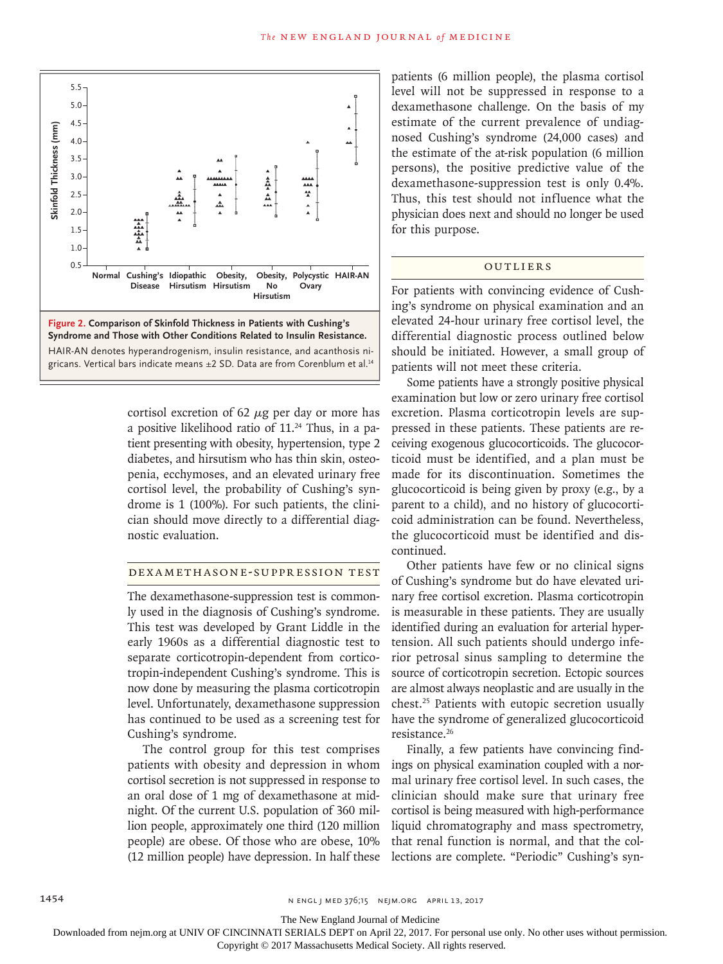

cortisol excretion of 62  $\mu$ g per day or more has a positive likelihood ratio of  $11.^{24}$  Thus, in a patient presenting with obesity, hypertension, type 2 diabetes, and hirsutism who has thin skin, osteopenia, ecchymoses, and an elevated urinary free cortisol level, the probability of Cushing's syndrome is 1 (100%). For such patients, the clinician should move directly to a differential diagnostic evaluation.

#### Dexamethasone-Suppression Test

The dexamethasone-suppression test is commonly used in the diagnosis of Cushing's syndrome. This test was developed by Grant Liddle in the early 1960s as a differential diagnostic test to separate corticotropin-dependent from corticotropin-independent Cushing's syndrome. This is now done by measuring the plasma corticotropin level. Unfortunately, dexamethasone suppression has continued to be used as a screening test for Cushing's syndrome.

The control group for this test comprises patients with obesity and depression in whom cortisol secretion is not suppressed in response to an oral dose of 1 mg of dexamethasone at midnight. Of the current U.S. population of 360 million people, approximately one third (120 million people) are obese. Of those who are obese, 10% (12 million people) have depression. In half these

patients (6 million people), the plasma cortisol level will not be suppressed in response to a dexamethasone challenge. On the basis of my estimate of the current prevalence of undiagnosed Cushing's syndrome (24,000 cases) and the estimate of the at-risk population (6 million persons), the positive predictive value of the dexamethasone-suppression test is only 0.4%. Thus, this test should not influence what the physician does next and should no longer be used for this purpose.

## **OUTLIERS**

For patients with convincing evidence of Cushing's syndrome on physical examination and an elevated 24-hour urinary free cortisol level, the differential diagnostic process outlined below should be initiated. However, a small group of patients will not meet these criteria.

Some patients have a strongly positive physical examination but low or zero urinary free cortisol excretion. Plasma corticotropin levels are suppressed in these patients. These patients are receiving exogenous glucocorticoids. The glucocorticoid must be identified, and a plan must be made for its discontinuation. Sometimes the glucocorticoid is being given by proxy (e.g., by a parent to a child), and no history of glucocorticoid administration can be found. Nevertheless, the glucocorticoid must be identified and discontinued.

Other patients have few or no clinical signs of Cushing's syndrome but do have elevated urinary free cortisol excretion. Plasma corticotropin is measurable in these patients. They are usually identified during an evaluation for arterial hypertension. All such patients should undergo inferior petrosal sinus sampling to determine the source of corticotropin secretion. Ectopic sources are almost always neoplastic and are usually in the chest.25 Patients with eutopic secretion usually have the syndrome of generalized glucocorticoid resistance.26

Finally, a few patients have convincing findings on physical examination coupled with a normal urinary free cortisol level. In such cases, the clinician should make sure that urinary free cortisol is being measured with high-performance liquid chromatography and mass spectrometry, that renal function is normal, and that the collections are complete. "Periodic" Cushing's syn-

The New England Journal of Medicine

Downloaded from nejm.org at UNIV OF CINCINNATI SERIALS DEPT on April 22, 2017. For personal use only. No other uses without permission.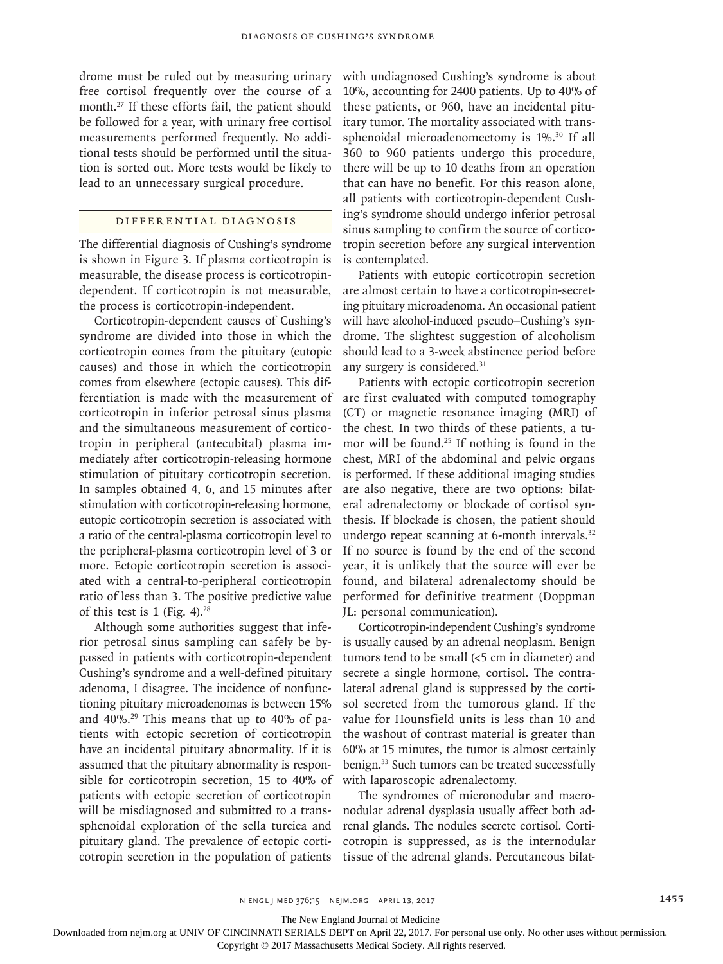drome must be ruled out by measuring urinary free cortisol frequently over the course of a month.27 If these efforts fail, the patient should be followed for a year, with urinary free cortisol measurements performed frequently. No additional tests should be performed until the situation is sorted out. More tests would be likely to lead to an unnecessary surgical procedure.

## Differential Diagnosis

The differential diagnosis of Cushing's syndrome is shown in Figure 3. If plasma corticotropin is measurable, the disease process is corticotropindependent. If corticotropin is not measurable, the process is corticotropin-independent.

Corticotropin-dependent causes of Cushing's syndrome are divided into those in which the corticotropin comes from the pituitary (eutopic causes) and those in which the corticotropin comes from elsewhere (ectopic causes). This differentiation is made with the measurement of corticotropin in inferior petrosal sinus plasma and the simultaneous measurement of corticotropin in peripheral (antecubital) plasma immediately after corticotropin-releasing hormone stimulation of pituitary corticotropin secretion. In samples obtained 4, 6, and 15 minutes after stimulation with corticotropin-releasing hormone, eutopic corticotropin secretion is associated with a ratio of the central-plasma corticotropin level to the peripheral-plasma corticotropin level of 3 or more. Ectopic corticotropin secretion is associated with a central-to-peripheral corticotropin ratio of less than 3. The positive predictive value of this test is 1 (Fig. 4). $^{28}$ 

Although some authorities suggest that inferior petrosal sinus sampling can safely be bypassed in patients with corticotropin-dependent Cushing's syndrome and a well-defined pituitary adenoma, I disagree. The incidence of nonfunctioning pituitary microadenomas is between 15% and  $40\%$ .<sup>29</sup> This means that up to  $40\%$  of patients with ectopic secretion of corticotropin have an incidental pituitary abnormality. If it is assumed that the pituitary abnormality is responsible for corticotropin secretion, 15 to 40% of patients with ectopic secretion of corticotropin will be misdiagnosed and submitted to a transsphenoidal exploration of the sella turcica and pituitary gland. The prevalence of ectopic corticotropin secretion in the population of patients

with undiagnosed Cushing's syndrome is about 10%, accounting for 2400 patients. Up to 40% of these patients, or 960, have an incidental pituitary tumor. The mortality associated with transsphenoidal microadenomectomy is 1%.30 If all 360 to 960 patients undergo this procedure, there will be up to 10 deaths from an operation that can have no benefit. For this reason alone, all patients with corticotropin-dependent Cushing's syndrome should undergo inferior petrosal sinus sampling to confirm the source of corticotropin secretion before any surgical intervention is contemplated.

Patients with eutopic corticotropin secretion are almost certain to have a corticotropin-secreting pituitary microadenoma. An occasional patient will have alcohol-induced pseudo–Cushing's syndrome. The slightest suggestion of alcoholism should lead to a 3-week abstinence period before any surgery is considered.<sup>31</sup>

Patients with ectopic corticotropin secretion are first evaluated with computed tomography (CT) or magnetic resonance imaging (MRI) of the chest. In two thirds of these patients, a tumor will be found.<sup>25</sup> If nothing is found in the chest, MRI of the abdominal and pelvic organs is performed. If these additional imaging studies are also negative, there are two options: bilateral adrenalectomy or blockade of cortisol synthesis. If blockade is chosen, the patient should undergo repeat scanning at 6-month intervals.<sup>32</sup> If no source is found by the end of the second year, it is unlikely that the source will ever be found, and bilateral adrenalectomy should be performed for definitive treatment (Doppman JL: personal communication).

Corticotropin-independent Cushing's syndrome is usually caused by an adrenal neoplasm. Benign tumors tend to be small (<5 cm in diameter) and secrete a single hormone, cortisol. The contralateral adrenal gland is suppressed by the cortisol secreted from the tumorous gland. If the value for Hounsfield units is less than 10 and the washout of contrast material is greater than 60% at 15 minutes, the tumor is almost certainly benign.33 Such tumors can be treated successfully with laparoscopic adrenalectomy.

The syndromes of micronodular and macronodular adrenal dysplasia usually affect both adrenal glands. The nodules secrete cortisol. Corticotropin is suppressed, as is the internodular tissue of the adrenal glands. Percutaneous bilat-

The New England Journal of Medicine

Downloaded from nejm.org at UNIV OF CINCINNATI SERIALS DEPT on April 22, 2017. For personal use only. No other uses without permission.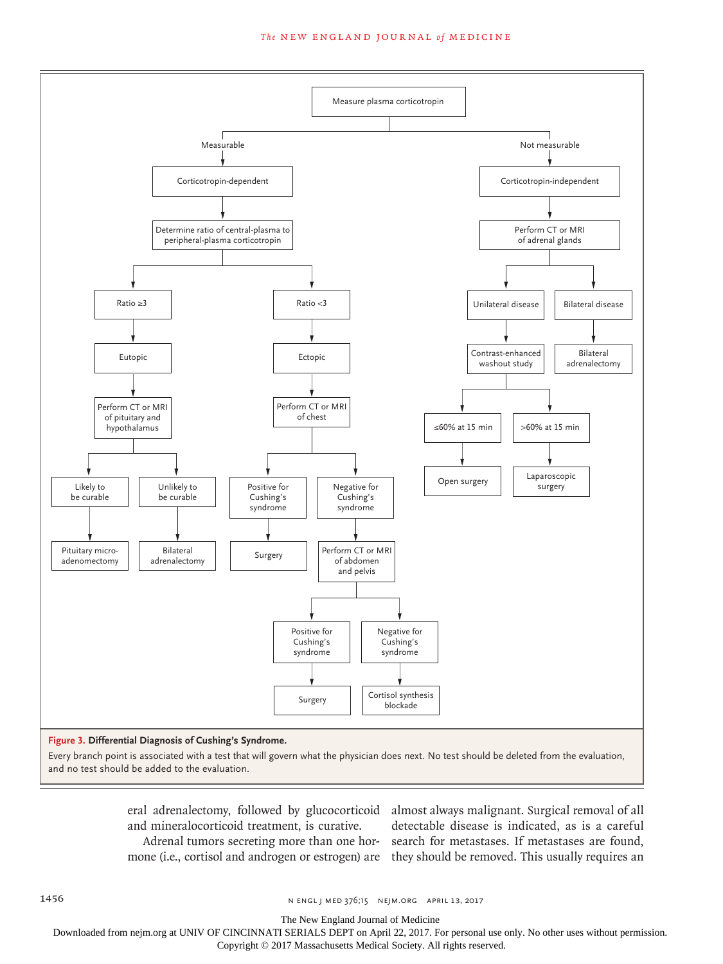#### **The NEW ENGLAND JOURNAL of MEDICINE**



Every branch point is associated with a test that will govern what the physician does next. No test should be deleted from the evaluation, and no test should be added to the evaluation.

and mineralocorticoid treatment, is curative.

eral adrenalectomy, followed by glucocorticoid almost always malignant. Surgical removal of all Adrenal tumors secreting more than one hor-search for metastases. If metastases are found, mone (i.e., cortisol and androgen or estrogen) are they should be removed. This usually requires an detectable disease is indicated, as is a careful

1456 n engl j med 376;15 nejm.org April 13, 2017

The New England Journal of Medicine

Downloaded from nejm.org at UNIV OF CINCINNATI SERIALS DEPT on April 22, 2017. For personal use only. No other uses without permission.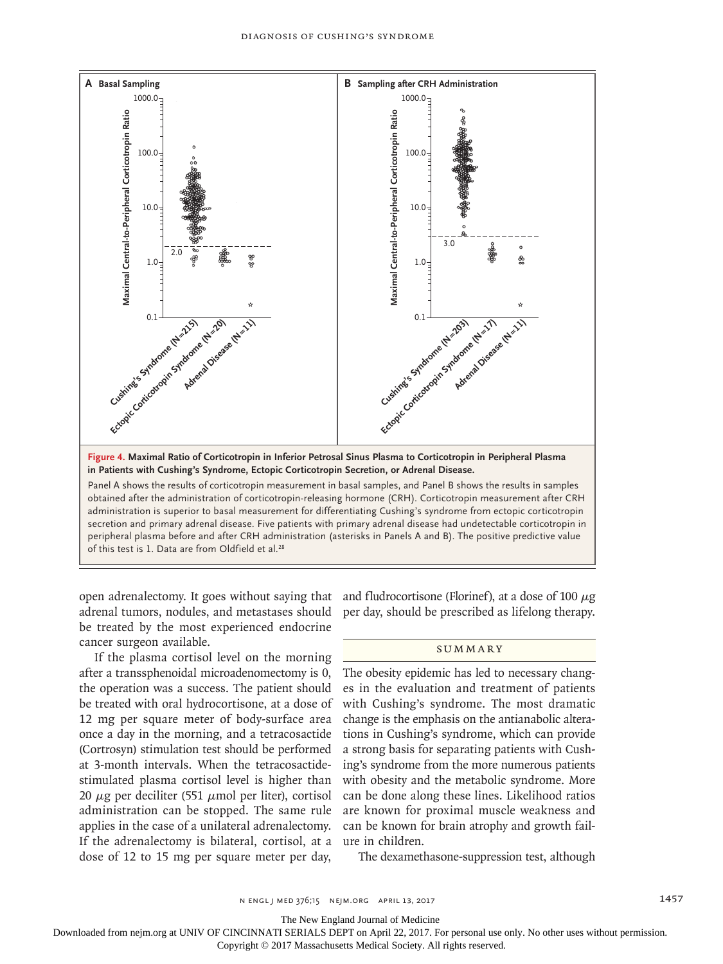

open adrenalectomy. It goes without saying that and fludrocortisone (Florinef), at a dose of 100  $\mu$ g adrenal tumors, nodules, and metastases should be treated by the most experienced endocrine cancer surgeon available.

If the plasma cortisol level on the morning after a transsphenoidal microadenomectomy is 0, the operation was a success. The patient should be treated with oral hydrocortisone, at a dose of 12 mg per square meter of body-surface area once a day in the morning, and a tetracosactide (Cortrosyn) stimulation test should be performed at 3-month intervals. When the tetracosactidestimulated plasma cortisol level is higher than 20  $\mu$ g per deciliter (551  $\mu$ mol per liter), cortisol administration can be stopped. The same rule applies in the case of a unilateral adrenalectomy. If the adrenalectomy is bilateral, cortisol, at a dose of 12 to 15 mg per square meter per day,

per day, should be prescribed as lifelong therapy.

#### **SUMMARY**

The obesity epidemic has led to necessary changes in the evaluation and treatment of patients with Cushing's syndrome. The most dramatic change is the emphasis on the antianabolic alterations in Cushing's syndrome, which can provide a strong basis for separating patients with Cushing's syndrome from the more numerous patients with obesity and the metabolic syndrome. More can be done along these lines. Likelihood ratios are known for proximal muscle weakness and can be known for brain atrophy and growth failure in children.

The dexamethasone-suppression test, although

The New England Journal of Medicine

Downloaded from nejm.org at UNIV OF CINCINNATI SERIALS DEPT on April 22, 2017. For personal use only. No other uses without permission.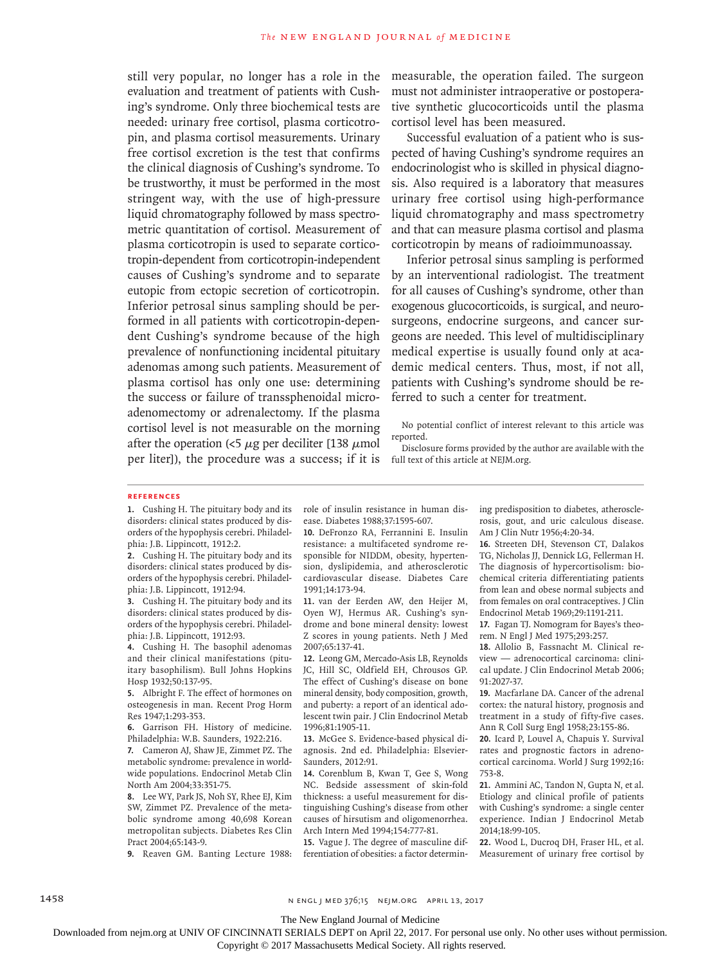still very popular, no longer has a role in the evaluation and treatment of patients with Cushing's syndrome. Only three biochemical tests are needed: urinary free cortisol, plasma corticotropin, and plasma cortisol measurements. Urinary free cortisol excretion is the test that confirms the clinical diagnosis of Cushing's syndrome. To be trustworthy, it must be performed in the most stringent way, with the use of high-pressure liquid chromatography followed by mass spectrometric quantitation of cortisol. Measurement of plasma corticotropin is used to separate corticotropin-dependent from corticotropin-independent causes of Cushing's syndrome and to separate eutopic from ectopic secretion of corticotropin. Inferior petrosal sinus sampling should be performed in all patients with corticotropin-dependent Cushing's syndrome because of the high prevalence of nonfunctioning incidental pituitary adenomas among such patients. Measurement of plasma cortisol has only one use: determining the success or failure of transsphenoidal microadenomectomy or adrenalectomy. If the plasma cortisol level is not measurable on the morning after the operation ( $\lt5 \mu$ g per deciliter [138  $\mu$ mol per liter]), the procedure was a success; if it is

measurable, the operation failed. The surgeon must not administer intraoperative or postoperative synthetic glucocorticoids until the plasma cortisol level has been measured.

Successful evaluation of a patient who is suspected of having Cushing's syndrome requires an endocrinologist who is skilled in physical diagnosis. Also required is a laboratory that measures urinary free cortisol using high-performance liquid chromatography and mass spectrometry and that can measure plasma cortisol and plasma corticotropin by means of radioimmunoassay.

Inferior petrosal sinus sampling is performed by an interventional radiologist. The treatment for all causes of Cushing's syndrome, other than exogenous glucocorticoids, is surgical, and neurosurgeons, endocrine surgeons, and cancer surgeons are needed. This level of multidisciplinary medical expertise is usually found only at academic medical centers. Thus, most, if not all, patients with Cushing's syndrome should be referred to such a center for treatment.

No potential conflict of interest relevant to this article was reported.

Disclosure forms provided by the author are available with the full text of this article at NEJM.org.

#### **References**

**1.** Cushing H. The pituitary body and its disorders: clinical states produced by disorders of the hypophysis cerebri. Philadelphia: J.B. Lippincott, 1912:2.

**2.** Cushing H. The pituitary body and its disorders: clinical states produced by disorders of the hypophysis cerebri. Philadelphia: J.B. Lippincott, 1912:94.

**3.** Cushing H. The pituitary body and its disorders: clinical states produced by disorders of the hypophysis cerebri. Philadelphia: J.B. Lippincott, 1912:93.

**4.** Cushing H. The basophil adenomas and their clinical manifestations (pituitary basophilism). Bull Johns Hopkins Hosp 1932;50:137-95.

**5.** Albright F. The effect of hormones on osteogenesis in man. Recent Prog Horm Res 1947;1:293-353.

**6.** Garrison FH. History of medicine. Philadelphia: W.B. Saunders, 1922:216.

**7.** Cameron AJ, Shaw JE, Zimmet PZ. The metabolic syndrome: prevalence in worldwide populations. Endocrinol Metab Clin North Am 2004;33:351-75.

**8.** Lee WY, Park JS, Noh SY, Rhee EJ, Kim SW, Zimmet PZ. Prevalence of the metabolic syndrome among 40,698 Korean metropolitan subjects. Diabetes Res Clin Pract 2004;65:143-9.

**9.** Reaven GM. Banting Lecture 1988:

role of insulin resistance in human disease. Diabetes 1988;37:1595-607.

**10.** DeFronzo RA, Ferrannini E. Insulin resistance: a multifaceted syndrome responsible for NIDDM, obesity, hypertension, dyslipidemia, and atherosclerotic cardiovascular disease. Diabetes Care 1991;14:173-94.

**11.** van der Eerden AW, den Heijer M, Oyen WJ, Hermus AR. Cushing's syndrome and bone mineral density: lowest Z scores in young patients. Neth J Med 2007;65:137-41.

**12.** Leong GM, Mercado-Asis LB, Reynolds JC, Hill SC, Oldfield EH, Chrousos GP. The effect of Cushing's disease on bone mineral density, body composition, growth, and puberty: a report of an identical adolescent twin pair. J Clin Endocrinol Metab 1996;81:1905-11.

**13.** McGee S. Evidence-based physical diagnosis. 2nd ed. Philadelphia: Elsevier-Saunders, 2012:91.

**14.** Corenblum B, Kwan T, Gee S, Wong NC. Bedside assessment of skin-fold thickness: a useful measurement for distinguishing Cushing's disease from other causes of hirsutism and oligomenorrhea. Arch Intern Med 1994;154:777-81.

**15.** Vague J. The degree of masculine differentiation of obesities: a factor determining predisposition to diabetes, atherosclerosis, gout, and uric calculous disease. Am J Clin Nutr 1956;4:20-34.

**16.** Streeten DH, Stevenson CT, Dalakos TG, Nicholas JJ, Dennick LG, Fellerman H. The diagnosis of hypercortisolism: biochemical criteria differentiating patients from lean and obese normal subjects and from females on oral contraceptives. J Clin Endocrinol Metab 1969;29:1191-211.

**17.** Fagan TJ. Nomogram for Bayes's theorem. N Engl J Med 1975;293:257.

**18.** Allolio B, Fassnacht M. Clinical review — adrenocortical carcinoma: clinical update. J Clin Endocrinol Metab 2006; 91:2027-37.

**19.** Macfarlane DA. Cancer of the adrenal cortex: the natural history, prognosis and treatment in a study of fifty-five cases. Ann R Coll Surg Engl 1958;23:155-86.

**20.** Icard P, Louvel A, Chapuis Y. Survival rates and prognostic factors in adrenocortical carcinoma. World J Surg 1992;16: 753-8.

**21.** Ammini AC, Tandon N, Gupta N, et al. Etiology and clinical profile of patients with Cushing's syndrome: a single center experience. Indian J Endocrinol Metab 2014;18:99-105.

**22.** Wood L, Ducroq DH, Fraser HL, et al. Measurement of urinary free cortisol by

1458 **1458** n engl j med 376;15 nejm.org April 13, 2017

The New England Journal of Medicine

Downloaded from nejm.org at UNIV OF CINCINNATI SERIALS DEPT on April 22, 2017. For personal use only. No other uses without permission.